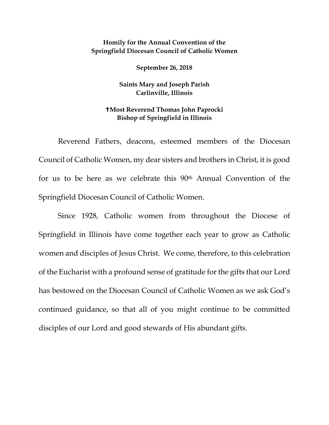## **Homily for the Annual Convention of the Springfield Diocesan Council of Catholic Women**

**September 26, 2018**

**Saints Mary and Joseph Parish Carlinville, Illinois**

## **Most Reverend Thomas John Paprocki Bishop of Springfield in Illinois**

Reverend Fathers, deacons, esteemed members of the Diocesan Council of Catholic Women, my dear sisters and brothers in Christ, it is good for us to be here as we celebrate this 90<sup>th</sup> Annual Convention of the Springfield Diocesan Council of Catholic Women.

Since 1928, Catholic women from throughout the Diocese of Springfield in Illinois have come together each year to grow as Catholic women and disciples of Jesus Christ. We come, therefore, to this celebration of the Eucharist with a profound sense of gratitude for the gifts that our Lord has bestowed on the Diocesan Council of Catholic Women as we ask God's continued guidance, so that all of you might continue to be committed disciples of our Lord and good stewards of His abundant gifts.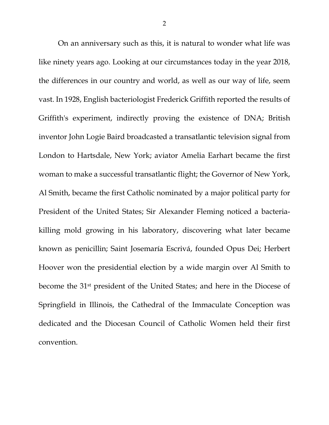On an anniversary such as this, it is natural to wonder what life was like ninety years ago. Looking at our circumstances today in the year 2018, the differences in our country and world, as well as our way of life, seem vast. In 1928, English bacteriologist Frederick Griffith reported the results of Griffith's experiment, indirectly proving the existence of DNA; British inventor John Logie Baird broadcasted a transatlantic television signal from London to Hartsdale, New York; aviator Amelia Earhart became the first woman to make a successful transatlantic flight; the Governor of New York, Al Smith, became the first Catholic nominated by a major political party for President of the United States; Sir Alexander Fleming noticed a bacteriakilling mold growing in his laboratory, discovering what later became known as penicillin; Saint Josemaría Escrivá, founded Opus Dei; Herbert Hoover won the presidential election by a wide margin over Al Smith to become the 31st president of the United States; and here in the Diocese of Springfield in Illinois, the Cathedral of the Immaculate Conception was dedicated and the Diocesan Council of Catholic Women held their first convention.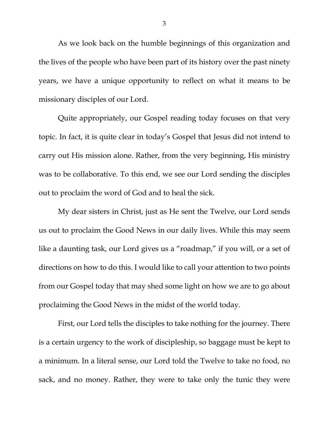As we look back on the humble beginnings of this organization and the lives of the people who have been part of its history over the past ninety years, we have a unique opportunity to reflect on what it means to be missionary disciples of our Lord.

Quite appropriately, our Gospel reading today focuses on that very topic. In fact, it is quite clear in today's Gospel that Jesus did not intend to carry out His mission alone. Rather, from the very beginning, His ministry was to be collaborative. To this end, we see our Lord sending the disciples out to proclaim the word of God and to heal the sick.

My dear sisters in Christ, just as He sent the Twelve, our Lord sends us out to proclaim the Good News in our daily lives. While this may seem like a daunting task, our Lord gives us a "roadmap," if you will, or a set of directions on how to do this. I would like to call your attention to two points from our Gospel today that may shed some light on how we are to go about proclaiming the Good News in the midst of the world today.

First, our Lord tells the disciples to take nothing for the journey. There is a certain urgency to the work of discipleship, so baggage must be kept to a minimum. In a literal sense, our Lord told the Twelve to take no food, no sack, and no money. Rather, they were to take only the tunic they were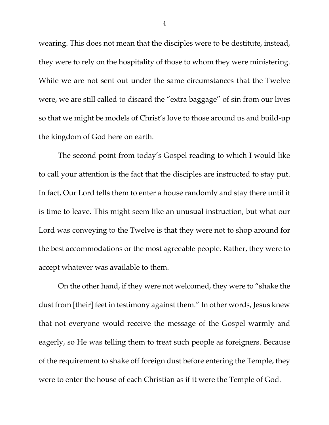wearing. This does not mean that the disciples were to be destitute, instead, they were to rely on the hospitality of those to whom they were ministering. While we are not sent out under the same circumstances that the Twelve were, we are still called to discard the "extra baggage" of sin from our lives so that we might be models of Christ's love to those around us and build-up the kingdom of God here on earth.

The second point from today's Gospel reading to which I would like to call your attention is the fact that the disciples are instructed to stay put. In fact, Our Lord tells them to enter a house randomly and stay there until it is time to leave. This might seem like an unusual instruction, but what our Lord was conveying to the Twelve is that they were not to shop around for the best accommodations or the most agreeable people. Rather, they were to accept whatever was available to them.

On the other hand, if they were not welcomed, they were to "shake the dust from [their] feet in testimony against them." In other words, Jesus knew that not everyone would receive the message of the Gospel warmly and eagerly, so He was telling them to treat such people as foreigners. Because of the requirement to shake off foreign dust before entering the Temple, they were to enter the house of each Christian as if it were the Temple of God.

4